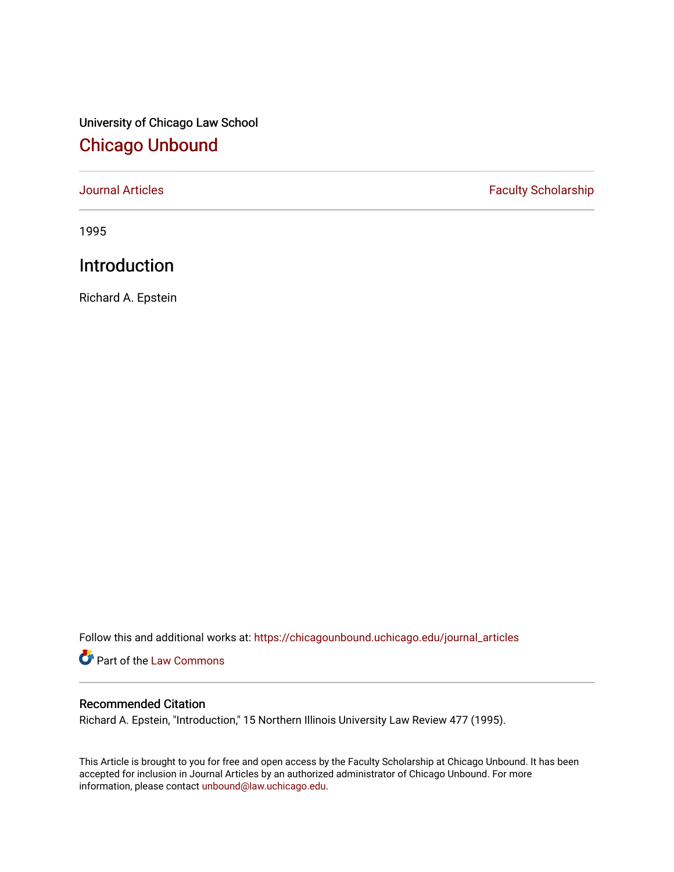University of Chicago Law School [Chicago Unbound](https://chicagounbound.uchicago.edu/)

[Journal Articles](https://chicagounbound.uchicago.edu/journal_articles) **Faculty Scholarship Faculty Scholarship** 

1995

## Introduction

Richard A. Epstein

Follow this and additional works at: [https://chicagounbound.uchicago.edu/journal\\_articles](https://chicagounbound.uchicago.edu/journal_articles?utm_source=chicagounbound.uchicago.edu%2Fjournal_articles%2F1209&utm_medium=PDF&utm_campaign=PDFCoverPages) 

Part of the [Law Commons](http://network.bepress.com/hgg/discipline/578?utm_source=chicagounbound.uchicago.edu%2Fjournal_articles%2F1209&utm_medium=PDF&utm_campaign=PDFCoverPages)

## Recommended Citation

Richard A. Epstein, "Introduction," 15 Northern Illinois University Law Review 477 (1995).

This Article is brought to you for free and open access by the Faculty Scholarship at Chicago Unbound. It has been accepted for inclusion in Journal Articles by an authorized administrator of Chicago Unbound. For more information, please contact [unbound@law.uchicago.edu](mailto:unbound@law.uchicago.edu).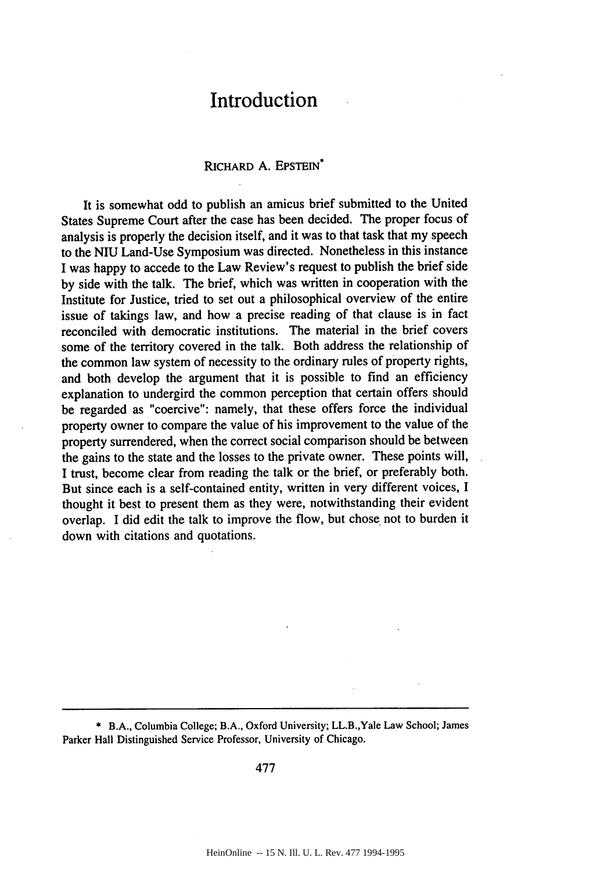## **Introduction**

## RICHARD A. EPSTEIN\*

It is somewhat odd to publish an amicus brief submitted to the United States Supreme Court after the case has been decided. The proper focus of analysis is properly the decision itself, and it was to that task that my speech to the NIU Land-Use Symposium was directed. Nonetheless in this instance I was happy to accede to the Law Review's request to publish the brief side by side with the talk. The brief, which was written in cooperation with the Institute for Justice, tried to set out a philosophical overview of the entire issue of takings law, and how a precise reading of that clause is in fact reconciled with democratic institutions. The material in the brief covers some of the territory covered in the talk. Both address the relationship of the common law system of necessity to the ordinary rules of property rights, and both develop the argument that it is possible to find an efficiency explanation to undergird the common perception that certain offers should be regarded as "coercive": namely, that these offers force the individual property owner to compare the value of his improvement to the value of the property surrendered, when the correct social comparison should be between the gains to the state and the losses to the private owner. These points will, I trust, become clear from reading the talk or the brief, or preferably both. But since each is a self-contained entity, written in very different voices, I thought it best to present them as they were, notwithstanding their evident overlap. I did edit the talk to improve the flow, but chose not to burden it down with citations and quotations.

\* B.A., Columbia College; B.A., Oxford University; LL.B.,Yale Law School; James Parker Hall Distinguished Service Professor, University of Chicago.

477